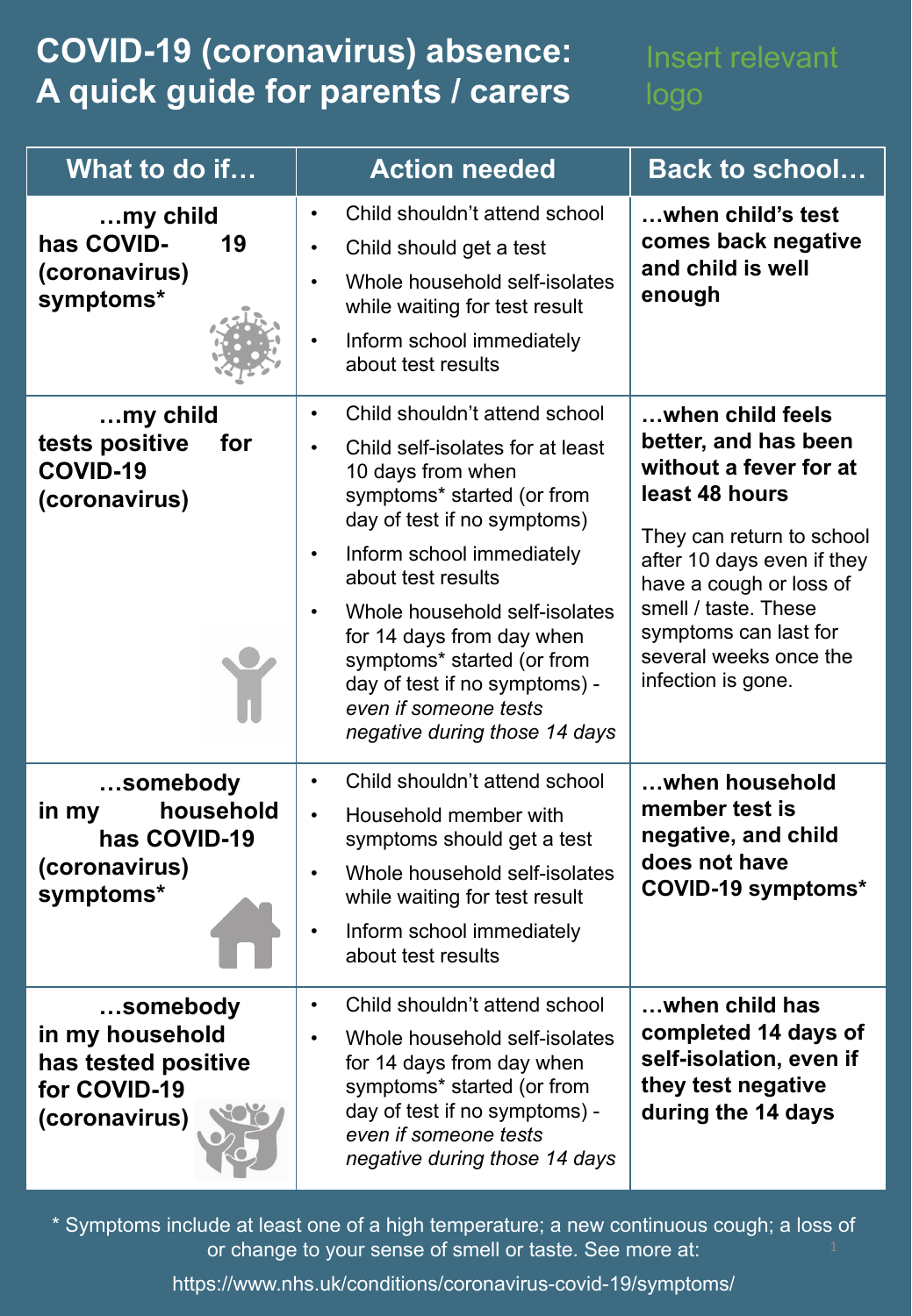## **COVID-19 (coronavirus) absence: A quick guide for parents / carers**

## Insert relevant logo

| What to do if                                                                       | <b>Action needed</b>                                                                                                                                                                                                                                                                                                                                                                                                    | <b>Back to school</b>                                                                                                                                                                                                                                                       |
|-------------------------------------------------------------------------------------|-------------------------------------------------------------------------------------------------------------------------------------------------------------------------------------------------------------------------------------------------------------------------------------------------------------------------------------------------------------------------------------------------------------------------|-----------------------------------------------------------------------------------------------------------------------------------------------------------------------------------------------------------------------------------------------------------------------------|
| $$ my child<br>has COVID-<br>19<br>(coronavirus)<br>symptoms*                       | Child shouldn't attend school<br>$\bullet$<br>Child should get a test<br>$\bullet$<br>Whole household self-isolates<br>while waiting for test result<br>Inform school immediately<br>about test results                                                                                                                                                                                                                 | when child's test<br>comes back negative<br>and child is well<br>enough                                                                                                                                                                                                     |
| my child<br>tests positive<br>for<br><b>COVID-19</b><br>(coronavirus)               | Child shouldn't attend school<br>$\bullet$<br>Child self-isolates for at least<br>$\bullet$<br>10 days from when<br>symptoms* started (or from<br>day of test if no symptoms)<br>Inform school immediately<br>about test results<br>Whole household self-isolates<br>for 14 days from day when<br>symptoms* started (or from<br>day of test if no symptoms) -<br>even if someone tests<br>negative during those 14 days | when child feels<br>better, and has been<br>without a fever for at<br>least 48 hours<br>They can return to school<br>after 10 days even if they<br>have a cough or loss of<br>smell / taste. These<br>symptoms can last for<br>several weeks once the<br>infection is gone. |
| somebody<br>household<br>in my<br>has COVID-19<br>(coronavirus)<br>symptoms*        | Child shouldn't attend school<br>$\bullet$<br>Household member with<br>$\bullet$<br>symptoms should get a test<br>Whole household self-isolates<br>while waiting for test result<br>Inform school immediately<br>about test results                                                                                                                                                                                     | when household<br>member test is<br>negative, and child<br>does not have<br><b>COVID-19 symptoms*</b>                                                                                                                                                                       |
| somebody<br>in my household<br>has tested positive<br>for COVID-19<br>(coronavirus) | Child shouldn't attend school<br>$\bullet$<br>Whole household self-isolates<br>for 14 days from day when<br>symptoms* started (or from<br>day of test if no symptoms) -<br>even if someone tests<br>negative during those 14 days                                                                                                                                                                                       | when child has<br>completed 14 days of<br>self-isolation, even if<br>they test negative<br>during the 14 days                                                                                                                                                               |

\* Symptoms include at least one of a high temperature; a new continuous cough; a loss of or change to your sense of smell or taste. See more at:

https://www.nhs.uk/conditions/coronavirus-covid-19/symptoms/